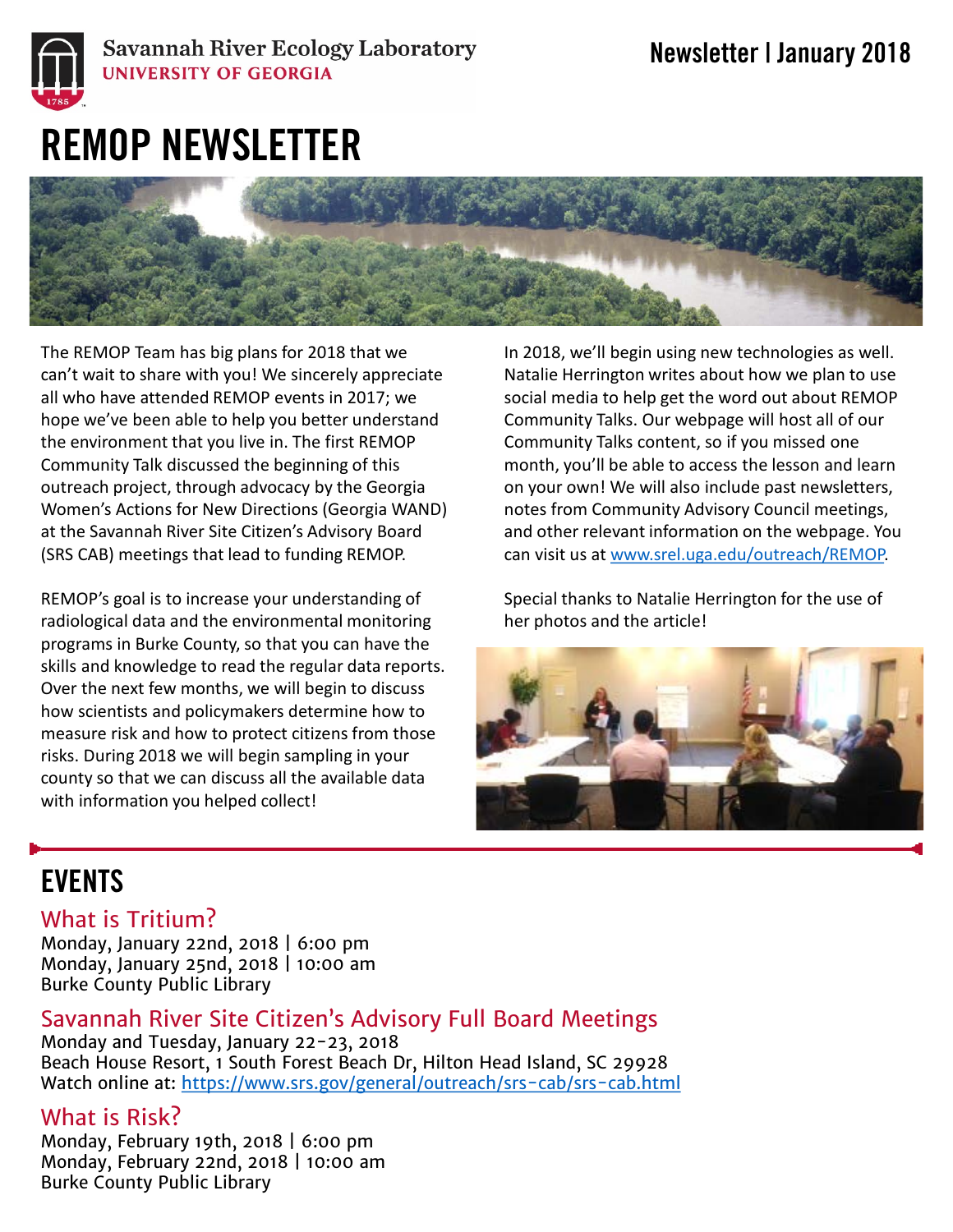

#### **Savannah River Ecology Laboratory UNIVERSITY OF GEORGIA**

# REMOP NEWSLETTER



The REMOP Team has big plans for 2018 that we can't wait to share with you! We sincerely appreciate all who have attended REMOP events in 2017; we hope we've been able to help you better understand the environment that you live in. The first REMOP Community Talk discussed the beginning of this outreach project, through advocacy by the Georgia Women's Actions for New Directions (Georgia WAND) at the Savannah River Site Citizen's Advisory Board (SRS CAB) meetings that lead to funding REMOP.

REMOP's goal is to increase your understanding of radiological data and the environmental monitoring programs in Burke County, so that you can have the skills and knowledge to read the regular data reports. Over the next few months, we will begin to discuss how scientists and policymakers determine how to measure risk and how to protect citizens from those risks. During 2018 we will begin sampling in your county so that we can discuss all the available data with information you helped collect!

In 2018, we'll begin using new technologies as well. Natalie Herrington writes about how we plan to use social media to help get the word out about REMOP Community Talks. Our webpage will host all of our Community Talks content, so if you missed one month, you'll be able to access the lesson and learn on your own! We will also include past newsletters, notes from Community Advisory Council meetings, and other relevant information on the webpage. You can visit us at [www.srel.uga.edu/outreach/REMOP.](http://www.srel.uga.edu/outreach/REMOP)

Special thanks to Natalie Herrington for the use of her photos and the article!



## **FVFNTS**

#### What is Tritium?

Monday, January 22nd, 2018 | 6:00 pm Monday, January 25nd, 2018 | 10:00 am Burke County Public Library

Savannah River Site Citizen's Advisory Full Board Meetings

Monday and Tuesday, January 22-23, 2018 Beach House Resort, 1 South Forest Beach Dr, Hilton Head Island, SC 29928 Watch online at: <https://www.srs.gov/general/outreach/srs-cab/srs-cab.html>

#### What is Risk?

Monday, February 19th, 2018 | 6:00 pm Monday, February 22nd, 2018 | 10:00 am Burke County Public Library